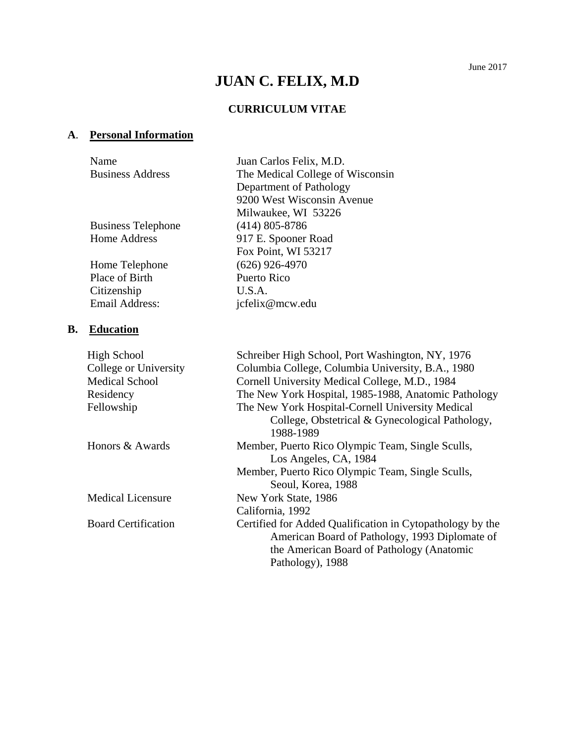# **JUAN C. FELIX, M.D**

# **CURRICULUM VITAE**

# **A**. **Personal Information**

|           | Name                       | Juan Carlos Felix, M.D.                                                                                                                                                      |
|-----------|----------------------------|------------------------------------------------------------------------------------------------------------------------------------------------------------------------------|
|           | <b>Business Address</b>    | The Medical College of Wisconsin                                                                                                                                             |
|           |                            | Department of Pathology                                                                                                                                                      |
|           |                            | 9200 West Wisconsin Avenue                                                                                                                                                   |
|           |                            | Milwaukee, WI 53226                                                                                                                                                          |
|           | <b>Business Telephone</b>  | $(414)$ 805-8786                                                                                                                                                             |
|           | <b>Home Address</b>        | 917 E. Spooner Road                                                                                                                                                          |
|           |                            | Fox Point, WI 53217                                                                                                                                                          |
|           | Home Telephone             | $(626)$ 926-4970                                                                                                                                                             |
|           | Place of Birth             | Puerto Rico                                                                                                                                                                  |
|           | Citizenship                | U.S.A.                                                                                                                                                                       |
|           | <b>Email Address:</b>      | jcfelix@mcw.edu                                                                                                                                                              |
| <b>B.</b> | <b>Education</b>           |                                                                                                                                                                              |
|           | <b>High School</b>         | Schreiber High School, Port Washington, NY, 1976                                                                                                                             |
|           | College or University      | Columbia College, Columbia University, B.A., 1980                                                                                                                            |
|           | <b>Medical School</b>      | Cornell University Medical College, M.D., 1984                                                                                                                               |
|           | Residency                  | The New York Hospital, 1985-1988, Anatomic Pathology                                                                                                                         |
|           | Fellowship                 | The New York Hospital-Cornell University Medical<br>College, Obstetrical & Gynecological Pathology,<br>1988-1989                                                             |
|           | Honors & Awards            | Member, Puerto Rico Olympic Team, Single Sculls,<br>Los Angeles, CA, 1984                                                                                                    |
|           |                            | Member, Puerto Rico Olympic Team, Single Sculls,<br>Seoul, Korea, 1988                                                                                                       |
|           | <b>Medical Licensure</b>   | New York State, 1986                                                                                                                                                         |
|           |                            | California, 1992                                                                                                                                                             |
|           | <b>Board Certification</b> | Certified for Added Qualification in Cytopathology by the<br>American Board of Pathology, 1993 Diplomate of<br>the American Board of Pathology (Anatomic<br>Pathology), 1988 |
|           |                            |                                                                                                                                                                              |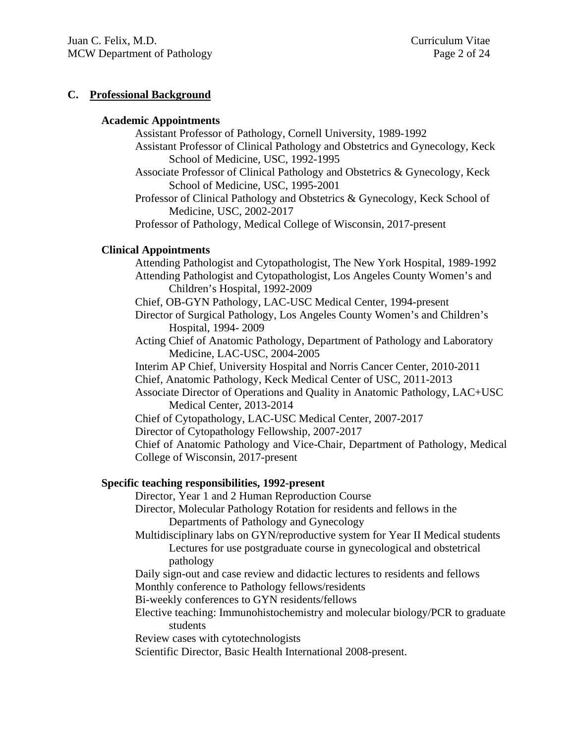#### **C. Professional Background**

#### **Academic Appointments**

Assistant Professor of Pathology, Cornell University, 1989-1992

- Assistant Professor of Clinical Pathology and Obstetrics and Gynecology, Keck School of Medicine, USC, 1992-1995
- Associate Professor of Clinical Pathology and Obstetrics & Gynecology, Keck School of Medicine, USC, 1995-2001

Professor of Clinical Pathology and Obstetrics & Gynecology, Keck School of Medicine, USC, 2002-2017

Professor of Pathology, Medical College of Wisconsin, 2017-present

# **Clinical Appointments**

 Attending Pathologist and Cytopathologist, The New York Hospital, 1989-1992 Attending Pathologist and Cytopathologist, Los Angeles County Women's and Children's Hospital, 1992-2009 Chief, OB-GYN Pathology, LAC-USC Medical Center, 1994-present Director of Surgical Pathology, Los Angeles County Women's and Children's Hospital, 1994- 2009 Acting Chief of Anatomic Pathology, Department of Pathology and Laboratory Medicine, LAC-USC, 2004-2005 Interim AP Chief, University Hospital and Norris Cancer Center, 2010-2011 Chief, Anatomic Pathology, Keck Medical Center of USC, 2011-2013 Associate Director of Operations and Quality in Anatomic Pathology, LAC+USC Medical Center, 2013-2014 Chief of Cytopathology, LAC-USC Medical Center, 2007-2017 Director of Cytopathology Fellowship, 2007-2017 Chief of Anatomic Pathology and Vice-Chair, Department of Pathology, Medical College of Wisconsin, 2017-present

# **Specific teaching responsibilities, 1992-present**

Director, Year 1 and 2 Human Reproduction Course

- Director, Molecular Pathology Rotation for residents and fellows in the Departments of Pathology and Gynecology
- Multidisciplinary labs on GYN/reproductive system for Year II Medical students Lectures for use postgraduate course in gynecological and obstetrical pathology
- Daily sign-out and case review and didactic lectures to residents and fellows

Monthly conference to Pathology fellows/residents

Bi-weekly conferences to GYN residents/fellows

 Elective teaching: Immunohistochemistry and molecular biology/PCR to graduate students

Review cases with cytotechnologists

Scientific Director, Basic Health International 2008-present.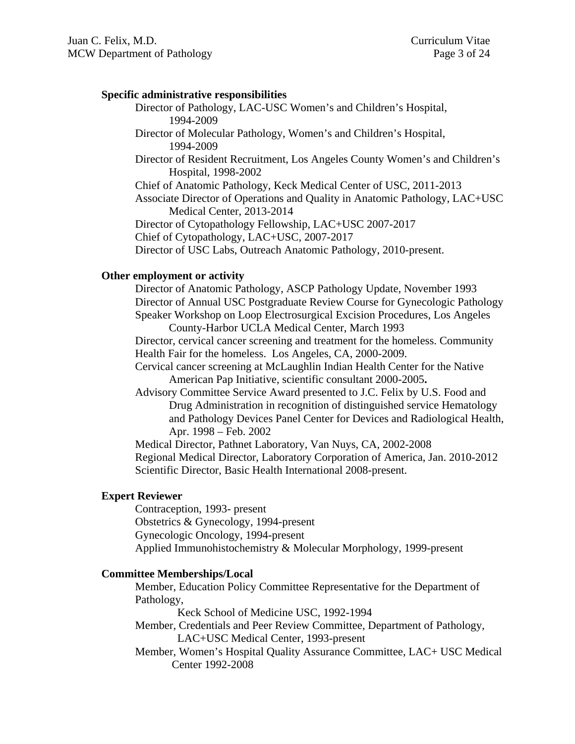#### **Specific administrative responsibilities**

 Director of Pathology, LAC-USC Women's and Children's Hospital, 1994-2009

 Director of Molecular Pathology, Women's and Children's Hospital, 1994-2009

Director of Resident Recruitment, Los Angeles County Women's and Children's Hospital, 1998-2002

Chief of Anatomic Pathology, Keck Medical Center of USC, 2011-2013

 Associate Director of Operations and Quality in Anatomic Pathology, LAC+USC Medical Center, 2013-2014

Director of Cytopathology Fellowship, LAC+USC 2007-2017

Chief of Cytopathology, LAC+USC, 2007-2017

Director of USC Labs, Outreach Anatomic Pathology, 2010-present.

#### **Other employment or activity**

 Director of Anatomic Pathology, ASCP Pathology Update, November 1993 Director of Annual USC Postgraduate Review Course for Gynecologic Pathology Speaker Workshop on Loop Electrosurgical Excision Procedures, Los Angeles County-Harbor UCLA Medical Center, March 1993

Director, cervical cancer screening and treatment for the homeless. Community Health Fair for the homeless. Los Angeles, CA, 2000-2009.

Cervical cancer screening at McLaughlin Indian Health Center for the Native American Pap Initiative, scientific consultant 2000-2005**.** 

Advisory Committee Service Award presented to J.C. Felix by U.S. Food and Drug Administration in recognition of distinguished service Hematology and Pathology Devices Panel Center for Devices and Radiological Health, Apr. 1998 – Feb. 2002

Medical Director, Pathnet Laboratory, Van Nuys, CA, 2002-2008 Regional Medical Director, Laboratory Corporation of America, Jan. 2010-2012 Scientific Director, Basic Health International 2008-present.

#### **Expert Reviewer**

 Contraception, 1993- present Obstetrics & Gynecology, 1994-present Gynecologic Oncology, 1994-present Applied Immunohistochemistry & Molecular Morphology, 1999-present

#### **Committee Memberships/Local**

Member, Education Policy Committee Representative for the Department of Pathology,

Keck School of Medicine USC, 1992-1994

Member, Credentials and Peer Review Committee, Department of Pathology, LAC+USC Medical Center, 1993-present

Member, Women's Hospital Quality Assurance Committee, LAC+ USC Medical Center 1992-2008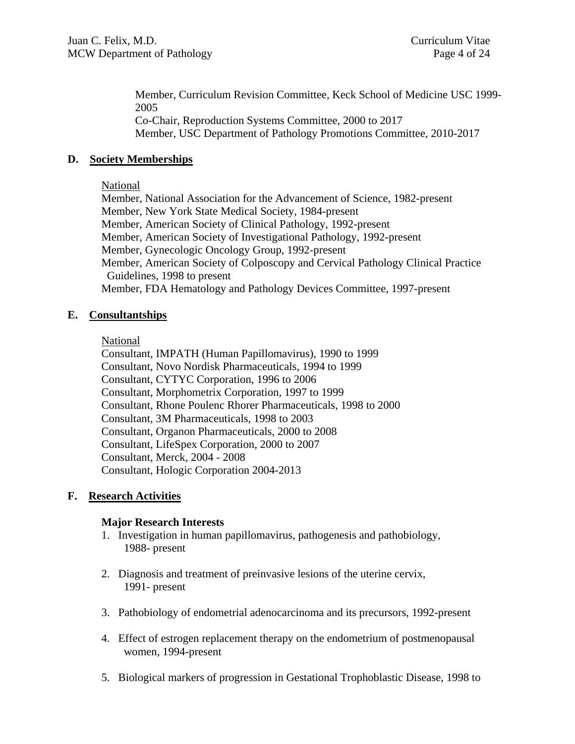Member, Curriculum Revision Committee, Keck School of Medicine USC 1999- 2005 Co-Chair, Reproduction Systems Committee, 2000 to 2017 Member, USC Department of Pathology Promotions Committee, 2010-2017

## **D. Society Memberships**

#### National

 Member, National Association for the Advancement of Science, 1982-present Member, New York State Medical Society, 1984-present Member, American Society of Clinical Pathology, 1992-present Member, American Society of Investigational Pathology, 1992-present Member, Gynecologic Oncology Group, 1992-present Member, American Society of Colposcopy and Cervical Pathology Clinical Practice Guidelines, 1998 to present Member, FDA Hematology and Pathology Devices Committee, 1997-present

### **E. Consultantships**

#### **National**

Consultant, IMPATH (Human Papillomavirus), 1990 to 1999 Consultant, Novo Nordisk Pharmaceuticals, 1994 to 1999 Consultant, CYTYC Corporation, 1996 to 2006 Consultant, Morphometrix Corporation, 1997 to 1999 Consultant, Rhone Poulenc Rhorer Pharmaceuticals, 1998 to 2000 Consultant, 3M Pharmaceuticals, 1998 to 2003 Consultant, Organon Pharmaceuticals, 2000 to 2008 Consultant, LifeSpex Corporation, 2000 to 2007 Consultant, Merck, 2004 - 2008 Consultant, Hologic Corporation 2004-2013

#### **F. Research Activities**

#### **Major Research Interests**

- 1. Investigation in human papillomavirus, pathogenesis and pathobiology, 1988- present
- 2. Diagnosis and treatment of preinvasive lesions of the uterine cervix, 1991- present
- 3. Pathobiology of endometrial adenocarcinoma and its precursors, 1992-present
- 4. Effect of estrogen replacement therapy on the endometrium of postmenopausal women, 1994-present
- 5. Biological markers of progression in Gestational Trophoblastic Disease, 1998 to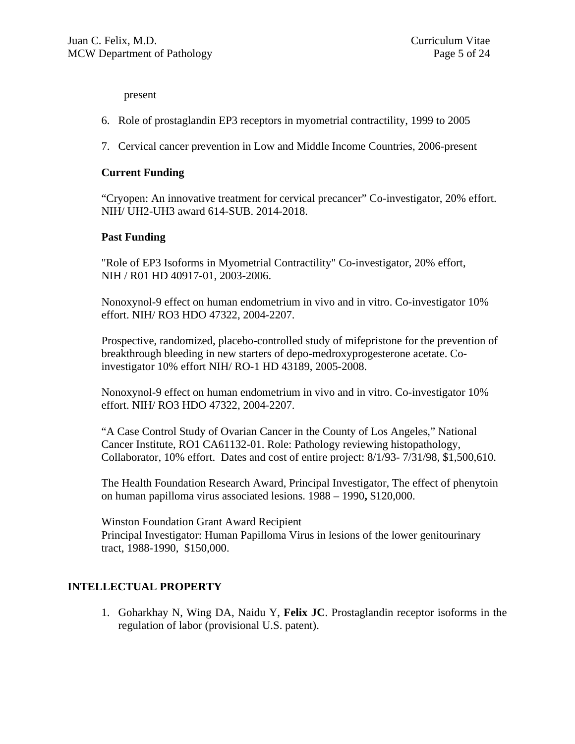present

- 6. Role of prostaglandin EP3 receptors in myometrial contractility, 1999 to 2005
- 7. Cervical cancer prevention in Low and Middle Income Countries, 2006-present

#### **Current Funding**

"Cryopen: An innovative treatment for cervical precancer" Co-investigator, 20% effort. NIH/ UH2-UH3 award 614-SUB. 2014-2018.

#### **Past Funding**

"Role of EP3 Isoforms in Myometrial Contractility" Co-investigator, 20% effort, NIH / R01 HD 40917-01, 2003-2006.

Nonoxynol-9 effect on human endometrium in vivo and in vitro. Co-investigator 10% effort. NIH/ RO3 HDO 47322, 2004-2207.

Prospective, randomized, placebo-controlled study of mifepristone for the prevention of breakthrough bleeding in new starters of depo-medroxyprogesterone acetate. Coinvestigator 10% effort NIH/ RO-1 HD 43189, 2005-2008.

Nonoxynol-9 effect on human endometrium in vivo and in vitro. Co-investigator 10% effort. NIH/ RO3 HDO 47322, 2004-2207.

 "A Case Control Study of Ovarian Cancer in the County of Los Angeles," National Cancer Institute, RO1 CA61132-01. Role: Pathology reviewing histopathology, Collaborator, 10% effort. Dates and cost of entire project: 8/1/93- 7/31/98, \$1,500,610.

The Health Foundation Research Award, Principal Investigator, The effect of phenytoin on human papilloma virus associated lesions. 1988 – 1990**,** \$120,000.

Winston Foundation Grant Award Recipient Principal Investigator: Human Papilloma Virus in lesions of the lower genitourinary tract, 1988-1990, \$150,000.

# **INTELLECTUAL PROPERTY**

1. Goharkhay N, Wing DA, Naidu Y, **Felix JC**. Prostaglandin receptor isoforms in the regulation of labor (provisional U.S. patent).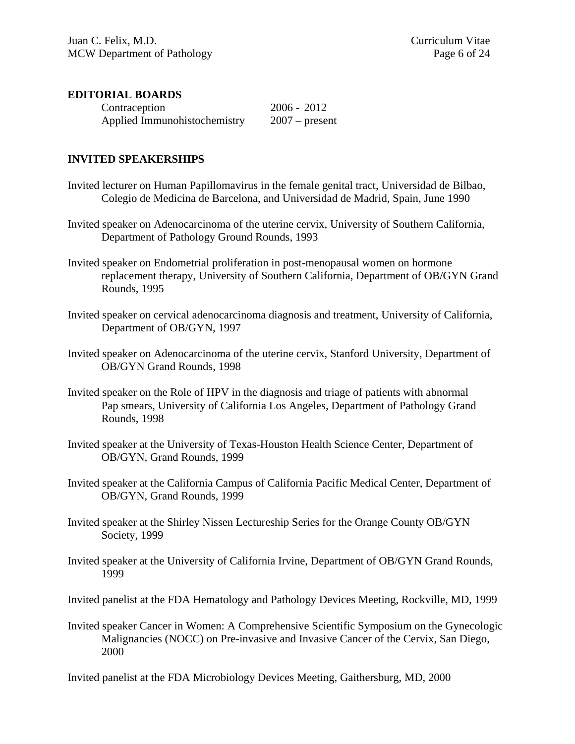#### **EDITORIAL BOARDS**

| Contraception                | $2006 - 2012$    |
|------------------------------|------------------|
| Applied Immunohistochemistry | $2007$ – present |

#### **INVITED SPEAKERSHIPS**

- Invited lecturer on Human Papillomavirus in the female genital tract, Universidad de Bilbao, Colegio de Medicina de Barcelona, and Universidad de Madrid, Spain, June 1990
- Invited speaker on Adenocarcinoma of the uterine cervix, University of Southern California, Department of Pathology Ground Rounds, 1993
- Invited speaker on Endometrial proliferation in post-menopausal women on hormone replacement therapy, University of Southern California, Department of OB/GYN Grand Rounds, 1995
- Invited speaker on cervical adenocarcinoma diagnosis and treatment, University of California, Department of OB/GYN, 1997
- Invited speaker on Adenocarcinoma of the uterine cervix, Stanford University, Department of OB/GYN Grand Rounds, 1998
- Invited speaker on the Role of HPV in the diagnosis and triage of patients with abnormal Pap smears, University of California Los Angeles, Department of Pathology Grand Rounds, 1998
- Invited speaker at the University of Texas-Houston Health Science Center, Department of OB/GYN, Grand Rounds, 1999
- Invited speaker at the California Campus of California Pacific Medical Center, Department of OB/GYN, Grand Rounds, 1999
- Invited speaker at the Shirley Nissen Lectureship Series for the Orange County OB/GYN Society, 1999
- Invited speaker at the University of California Irvine, Department of OB/GYN Grand Rounds, 1999

Invited panelist at the FDA Hematology and Pathology Devices Meeting, Rockville, MD, 1999

Invited speaker Cancer in Women: A Comprehensive Scientific Symposium on the Gynecologic Malignancies (NOCC) on Pre-invasive and Invasive Cancer of the Cervix, San Diego, 2000

Invited panelist at the FDA Microbiology Devices Meeting, Gaithersburg, MD, 2000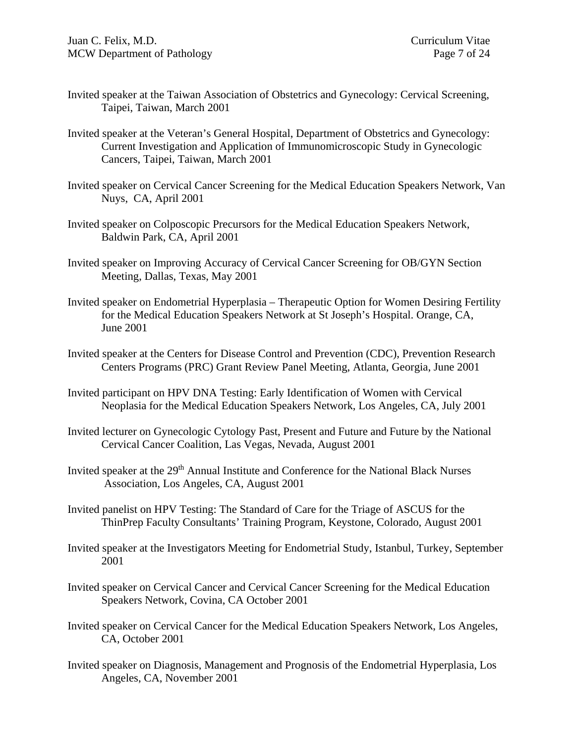- Invited speaker at the Taiwan Association of Obstetrics and Gynecology: Cervical Screening, Taipei, Taiwan, March 2001
- Invited speaker at the Veteran's General Hospital, Department of Obstetrics and Gynecology: Current Investigation and Application of Immunomicroscopic Study in Gynecologic Cancers, Taipei, Taiwan, March 2001
- Invited speaker on Cervical Cancer Screening for the Medical Education Speakers Network, Van Nuys, CA, April 2001
- Invited speaker on Colposcopic Precursors for the Medical Education Speakers Network, Baldwin Park, CA, April 2001
- Invited speaker on Improving Accuracy of Cervical Cancer Screening for OB/GYN Section Meeting, Dallas, Texas, May 2001
- Invited speaker on Endometrial Hyperplasia Therapeutic Option for Women Desiring Fertility for the Medical Education Speakers Network at St Joseph's Hospital. Orange, CA, June 2001
- Invited speaker at the Centers for Disease Control and Prevention (CDC), Prevention Research Centers Programs (PRC) Grant Review Panel Meeting, Atlanta, Georgia, June 2001
- Invited participant on HPV DNA Testing: Early Identification of Women with Cervical Neoplasia for the Medical Education Speakers Network, Los Angeles, CA, July 2001
- Invited lecturer on Gynecologic Cytology Past, Present and Future and Future by the National Cervical Cancer Coalition, Las Vegas, Nevada, August 2001
- Invited speaker at the 29<sup>th</sup> Annual Institute and Conference for the National Black Nurses Association, Los Angeles, CA, August 2001
- Invited panelist on HPV Testing: The Standard of Care for the Triage of ASCUS for the ThinPrep Faculty Consultants' Training Program, Keystone, Colorado, August 2001
- Invited speaker at the Investigators Meeting for Endometrial Study, Istanbul, Turkey, September 2001
- Invited speaker on Cervical Cancer and Cervical Cancer Screening for the Medical Education Speakers Network, Covina, CA October 2001
- Invited speaker on Cervical Cancer for the Medical Education Speakers Network, Los Angeles, CA, October 2001
- Invited speaker on Diagnosis, Management and Prognosis of the Endometrial Hyperplasia, Los Angeles, CA, November 2001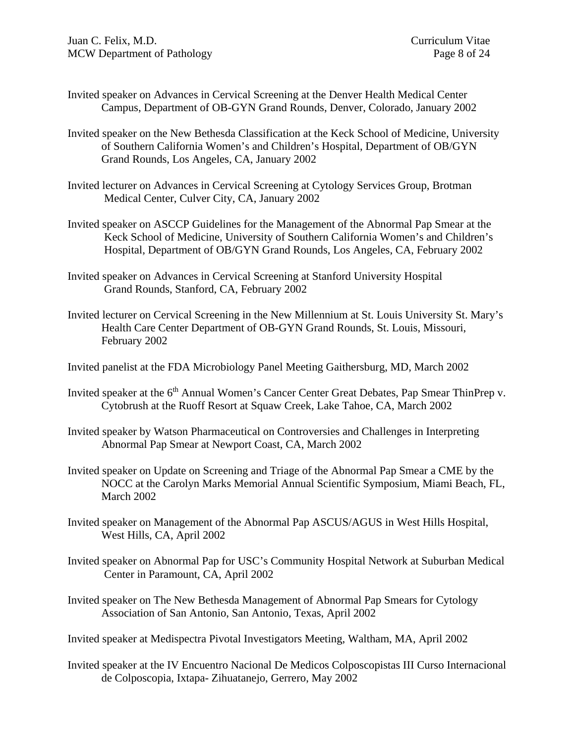- Invited speaker on Advances in Cervical Screening at the Denver Health Medical Center Campus, Department of OB-GYN Grand Rounds, Denver, Colorado, January 2002
- Invited speaker on the New Bethesda Classification at the Keck School of Medicine, University of Southern California Women's and Children's Hospital, Department of OB/GYN Grand Rounds, Los Angeles, CA, January 2002
- Invited lecturer on Advances in Cervical Screening at Cytology Services Group, Brotman Medical Center, Culver City, CA, January 2002
- Invited speaker on ASCCP Guidelines for the Management of the Abnormal Pap Smear at the Keck School of Medicine, University of Southern California Women's and Children's Hospital, Department of OB/GYN Grand Rounds, Los Angeles, CA, February 2002
- Invited speaker on Advances in Cervical Screening at Stanford University Hospital Grand Rounds, Stanford, CA, February 2002
- Invited lecturer on Cervical Screening in the New Millennium at St. Louis University St. Mary's Health Care Center Department of OB-GYN Grand Rounds, St. Louis, Missouri, February 2002
- Invited panelist at the FDA Microbiology Panel Meeting Gaithersburg, MD, March 2002
- Invited speaker at the 6<sup>th</sup> Annual Women's Cancer Center Great Debates, Pap Smear ThinPrep v. Cytobrush at the Ruoff Resort at Squaw Creek, Lake Tahoe, CA, March 2002
- Invited speaker by Watson Pharmaceutical on Controversies and Challenges in Interpreting Abnormal Pap Smear at Newport Coast, CA, March 2002
- Invited speaker on Update on Screening and Triage of the Abnormal Pap Smear a CME by the NOCC at the Carolyn Marks Memorial Annual Scientific Symposium, Miami Beach, FL, March 2002
- Invited speaker on Management of the Abnormal Pap ASCUS/AGUS in West Hills Hospital, West Hills, CA, April 2002
- Invited speaker on Abnormal Pap for USC's Community Hospital Network at Suburban Medical Center in Paramount, CA, April 2002
- Invited speaker on The New Bethesda Management of Abnormal Pap Smears for Cytology Association of San Antonio, San Antonio, Texas, April 2002

Invited speaker at Medispectra Pivotal Investigators Meeting, Waltham, MA, April 2002

Invited speaker at the IV Encuentro Nacional De Medicos Colposcopistas III Curso Internacional de Colposcopia, Ixtapa- Zihuatanejo, Gerrero, May 2002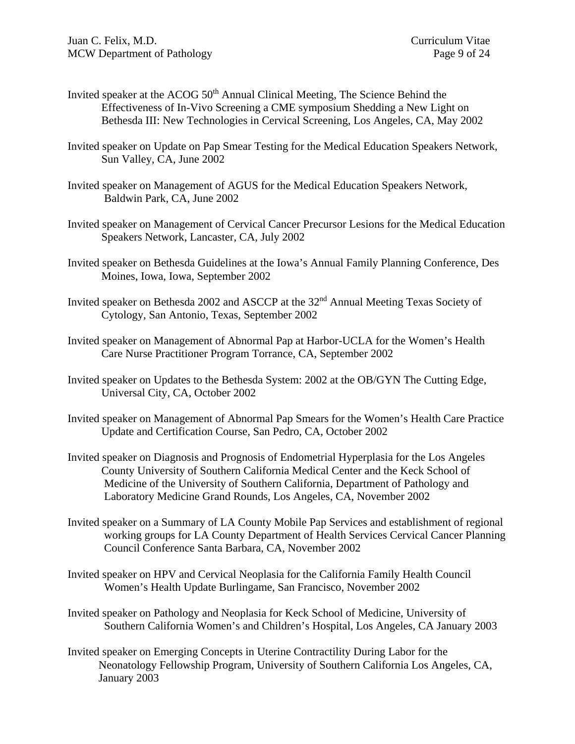- Invited speaker at the ACOG 50<sup>th</sup> Annual Clinical Meeting, The Science Behind the Effectiveness of In-Vivo Screening a CME symposium Shedding a New Light on Bethesda III: New Technologies in Cervical Screening, Los Angeles, CA, May 2002
- Invited speaker on Update on Pap Smear Testing for the Medical Education Speakers Network, Sun Valley, CA, June 2002
- Invited speaker on Management of AGUS for the Medical Education Speakers Network, Baldwin Park, CA, June 2002
- Invited speaker on Management of Cervical Cancer Precursor Lesions for the Medical Education Speakers Network, Lancaster, CA, July 2002
- Invited speaker on Bethesda Guidelines at the Iowa's Annual Family Planning Conference, Des Moines, Iowa, Iowa, September 2002
- Invited speaker on Bethesda 2002 and ASCCP at the 32<sup>nd</sup> Annual Meeting Texas Society of Cytology, San Antonio, Texas, September 2002
- Invited speaker on Management of Abnormal Pap at Harbor-UCLA for the Women's Health Care Nurse Practitioner Program Torrance, CA, September 2002
- Invited speaker on Updates to the Bethesda System: 2002 at the OB/GYN The Cutting Edge, Universal City, CA, October 2002
- Invited speaker on Management of Abnormal Pap Smears for the Women's Health Care Practice Update and Certification Course, San Pedro, CA, October 2002
- Invited speaker on Diagnosis and Prognosis of Endometrial Hyperplasia for the Los Angeles County University of Southern California Medical Center and the Keck School of Medicine of the University of Southern California, Department of Pathology and Laboratory Medicine Grand Rounds, Los Angeles, CA, November 2002
- Invited speaker on a Summary of LA County Mobile Pap Services and establishment of regional working groups for LA County Department of Health Services Cervical Cancer Planning Council Conference Santa Barbara, CA, November 2002
- Invited speaker on HPV and Cervical Neoplasia for the California Family Health Council Women's Health Update Burlingame, San Francisco, November 2002
- Invited speaker on Pathology and Neoplasia for Keck School of Medicine, University of Southern California Women's and Children's Hospital, Los Angeles, CA January 2003
- Invited speaker on Emerging Concepts in Uterine Contractility During Labor for the Neonatology Fellowship Program, University of Southern California Los Angeles, CA, January 2003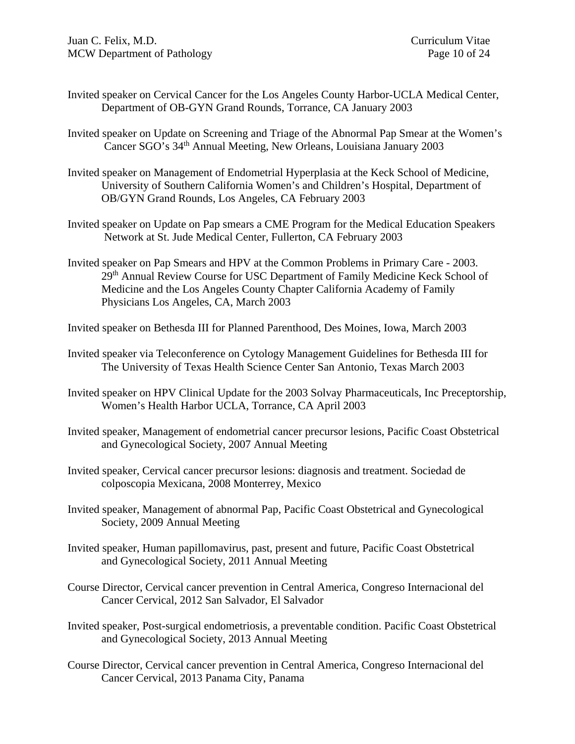- Invited speaker on Cervical Cancer for the Los Angeles County Harbor-UCLA Medical Center, Department of OB-GYN Grand Rounds, Torrance, CA January 2003
- Invited speaker on Update on Screening and Triage of the Abnormal Pap Smear at the Women's Cancer SGO's 34<sup>th</sup> Annual Meeting, New Orleans, Louisiana January 2003
- Invited speaker on Management of Endometrial Hyperplasia at the Keck School of Medicine, University of Southern California Women's and Children's Hospital, Department of OB/GYN Grand Rounds, Los Angeles, CA February 2003
- Invited speaker on Update on Pap smears a CME Program for the Medical Education Speakers Network at St. Jude Medical Center, Fullerton, CA February 2003
- Invited speaker on Pap Smears and HPV at the Common Problems in Primary Care 2003. 29<sup>th</sup> Annual Review Course for USC Department of Family Medicine Keck School of Medicine and the Los Angeles County Chapter California Academy of Family Physicians Los Angeles, CA, March 2003

Invited speaker on Bethesda III for Planned Parenthood, Des Moines, Iowa, March 2003

- Invited speaker via Teleconference on Cytology Management Guidelines for Bethesda III for The University of Texas Health Science Center San Antonio, Texas March 2003
- Invited speaker on HPV Clinical Update for the 2003 Solvay Pharmaceuticals, Inc Preceptorship, Women's Health Harbor UCLA, Torrance, CA April 2003
- Invited speaker, Management of endometrial cancer precursor lesions, Pacific Coast Obstetrical and Gynecological Society, 2007 Annual Meeting
- Invited speaker, Cervical cancer precursor lesions: diagnosis and treatment. Sociedad de colposcopia Mexicana, 2008 Monterrey, Mexico
- Invited speaker, Management of abnormal Pap, Pacific Coast Obstetrical and Gynecological Society, 2009 Annual Meeting
- Invited speaker, Human papillomavirus, past, present and future, Pacific Coast Obstetrical and Gynecological Society, 2011 Annual Meeting
- Course Director, Cervical cancer prevention in Central America, Congreso Internacional del Cancer Cervical, 2012 San Salvador, El Salvador
- Invited speaker, Post-surgical endometriosis, a preventable condition. Pacific Coast Obstetrical and Gynecological Society, 2013 Annual Meeting
- Course Director, Cervical cancer prevention in Central America, Congreso Internacional del Cancer Cervical, 2013 Panama City, Panama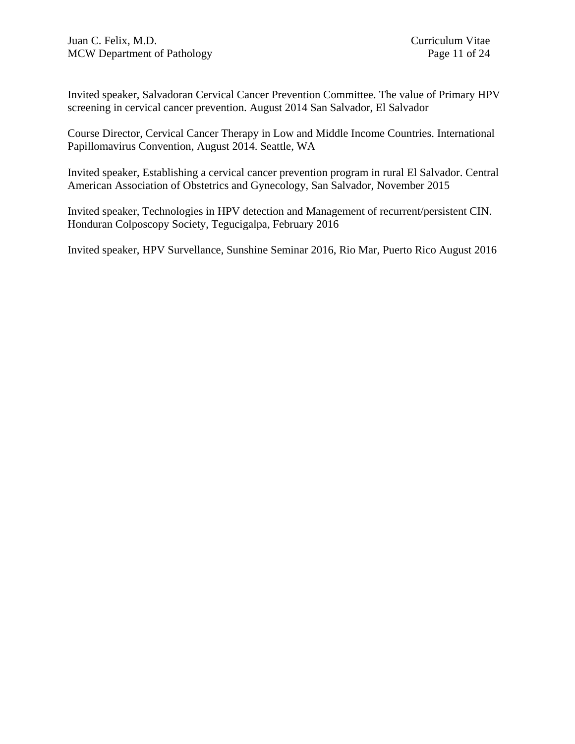Invited speaker, Salvadoran Cervical Cancer Prevention Committee. The value of Primary HPV screening in cervical cancer prevention. August 2014 San Salvador, El Salvador

Course Director, Cervical Cancer Therapy in Low and Middle Income Countries. International Papillomavirus Convention, August 2014. Seattle, WA

Invited speaker, Establishing a cervical cancer prevention program in rural El Salvador. Central American Association of Obstetrics and Gynecology, San Salvador, November 2015

Invited speaker, Technologies in HPV detection and Management of recurrent/persistent CIN. Honduran Colposcopy Society, Tegucigalpa, February 2016

Invited speaker, HPV Survellance, Sunshine Seminar 2016, Rio Mar, Puerto Rico August 2016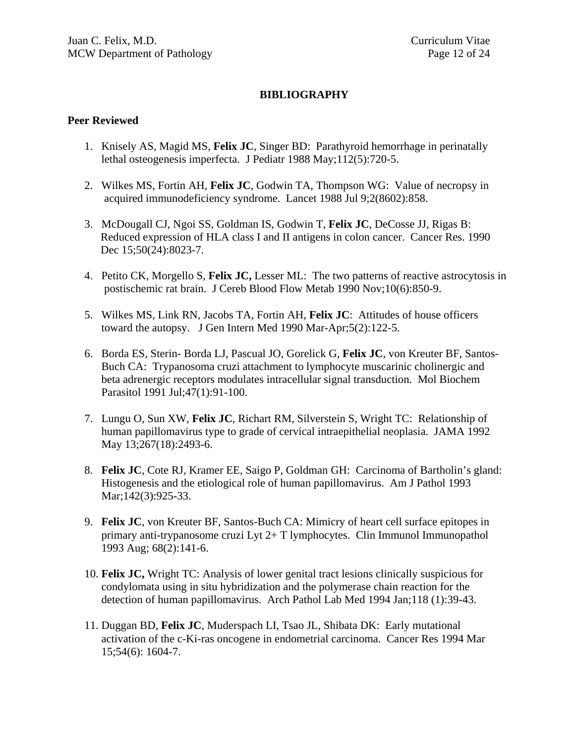#### **BIBLIOGRAPHY**

#### **Peer Reviewed**

- 1. Knisely AS, Magid MS, **Felix JC**, Singer BD: Parathyroid hemorrhage in perinatally lethal osteogenesis imperfecta. J Pediatr 1988 May;112(5):720-5.
- 2. Wilkes MS, Fortin AH, **Felix JC**, Godwin TA, Thompson WG: Value of necropsy in acquired immunodeficiency syndrome. Lancet 1988 Jul 9;2(8602):858.
- 3. McDougall CJ, Ngoi SS, Goldman IS, Godwin T, **Felix JC**, DeCosse JJ, Rigas B: Reduced expression of HLA class I and II antigens in colon cancer. Cancer Res. 1990 Dec 15;50(24):8023-7.
- 4. Petito CK, Morgello S, **Felix JC,** Lesser ML: The two patterns of reactive astrocytosis in postischemic rat brain. J Cereb Blood Flow Metab 1990 Nov;10(6):850-9.
- 5. Wilkes MS, Link RN, Jacobs TA, Fortin AH, **Felix JC**: Attitudes of house officers toward the autopsy. J Gen Intern Med 1990 Mar-Apr;5(2):122-5.
- 6. Borda ES, Sterin- Borda LJ, Pascual JO, Gorelick G, **Felix JC**, von Kreuter BF, Santos-Buch CA: Trypanosoma cruzi attachment to lymphocyte muscarinic cholinergic and beta adrenergic receptors modulates intracellular signal transduction. Mol Biochem Parasitol 1991 Jul;47(1):91-100.
- 7. Lungu O, Sun XW, **Felix JC**, Richart RM, Silverstein S, Wright TC: Relationship of human papillomavirus type to grade of cervical intraepithelial neoplasia. JAMA 1992 May 13;267(18):2493-6.
- 8. **Felix JC**, Cote RJ, Kramer EE, Saigo P, Goldman GH: Carcinoma of Bartholin's gland: Histogenesis and the etiological role of human papillomavirus. Am J Pathol 1993 Mar; 142(3): 925-33.
- 9. **Felix JC**, von Kreuter BF, Santos-Buch CA: Mimicry of heart cell surface epitopes in primary anti-trypanosome cruzi Lyt 2+ T lymphocytes. Clin Immunol Immunopathol 1993 Aug; 68(2):141-6.
- 10. **Felix JC,** Wright TC: Analysis of lower genital tract lesions clinically suspicious for condylomata using in situ hybridization and the polymerase chain reaction for the detection of human papillomavirus. Arch Pathol Lab Med 1994 Jan;118 (1):39-43.
- 11. Duggan BD, **Felix JC**, Muderspach LI, Tsao JL, Shibata DK: Early mutational activation of the c-Ki-ras oncogene in endometrial carcinoma. Cancer Res 1994 Mar 15;54(6): 1604-7.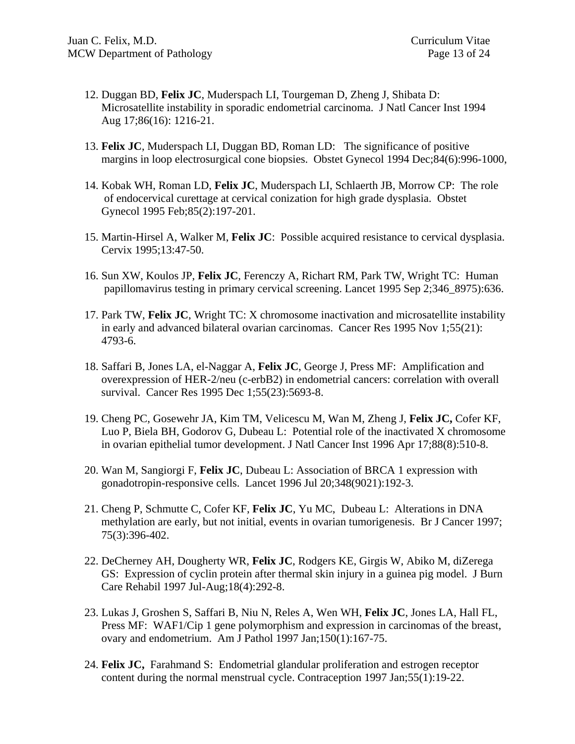- 12. Duggan BD, **Felix JC**, Muderspach LI, Tourgeman D, Zheng J, Shibata D: Microsatellite instability in sporadic endometrial carcinoma. J Natl Cancer Inst 1994 Aug 17;86(16): 1216-21.
- 13. **Felix JC**, Muderspach LI, Duggan BD, Roman LD: The significance of positive margins in loop electrosurgical cone biopsies. Obstet Gynecol 1994 Dec;84(6):996-1000,
- 14. Kobak WH, Roman LD, **Felix JC**, Muderspach LI, Schlaerth JB, Morrow CP: The role of endocervical curettage at cervical conization for high grade dysplasia. Obstet Gynecol 1995 Feb;85(2):197-201.
- 15. Martin-Hirsel A, Walker M, **Felix JC**: Possible acquired resistance to cervical dysplasia. Cervix 1995;13:47-50.
- 16. Sun XW, Koulos JP, **Felix JC**, Ferenczy A, Richart RM, Park TW, Wright TC: Human papillomavirus testing in primary cervical screening. Lancet 1995 Sep 2;346\_8975):636.
- 17. Park TW, **Felix JC**, Wright TC: X chromosome inactivation and microsatellite instability in early and advanced bilateral ovarian carcinomas. Cancer Res 1995 Nov 1;55(21): 4793-6.
- 18. Saffari B, Jones LA, el-Naggar A, **Felix JC**, George J, Press MF: Amplification and overexpression of HER-2/neu (c-erbB2) in endometrial cancers: correlation with overall survival. Cancer Res 1995 Dec 1;55(23):5693-8.
- 19. Cheng PC, Gosewehr JA, Kim TM, Velicescu M, Wan M, Zheng J, **Felix JC,** Cofer KF, Luo P, Biela BH, Godorov G, Dubeau L: Potential role of the inactivated X chromosome in ovarian epithelial tumor development. J Natl Cancer Inst 1996 Apr 17;88(8):510-8.
- 20. Wan M, Sangiorgi F, **Felix JC**, Dubeau L: Association of BRCA 1 expression with gonadotropin-responsive cells. Lancet 1996 Jul 20;348(9021):192-3.
- 21. Cheng P, Schmutte C, Cofer KF, **Felix JC**, Yu MC, Dubeau L: Alterations in DNA methylation are early, but not initial, events in ovarian tumorigenesis. Br J Cancer 1997; 75(3):396-402.
- 22. DeCherney AH, Dougherty WR, **Felix JC**, Rodgers KE, Girgis W, Abiko M, diZerega GS: Expression of cyclin protein after thermal skin injury in a guinea pig model. J Burn Care Rehabil 1997 Jul-Aug;18(4):292-8.
- 23. Lukas J, Groshen S, Saffari B, Niu N, Reles A, Wen WH, **Felix JC**, Jones LA, Hall FL, Press MF: WAF1/Cip 1 gene polymorphism and expression in carcinomas of the breast, ovary and endometrium. Am J Pathol 1997 Jan;150(1):167-75.
- 24. **Felix JC,** Farahmand S: Endometrial glandular proliferation and estrogen receptor content during the normal menstrual cycle. Contraception 1997 Jan;55(1):19-22.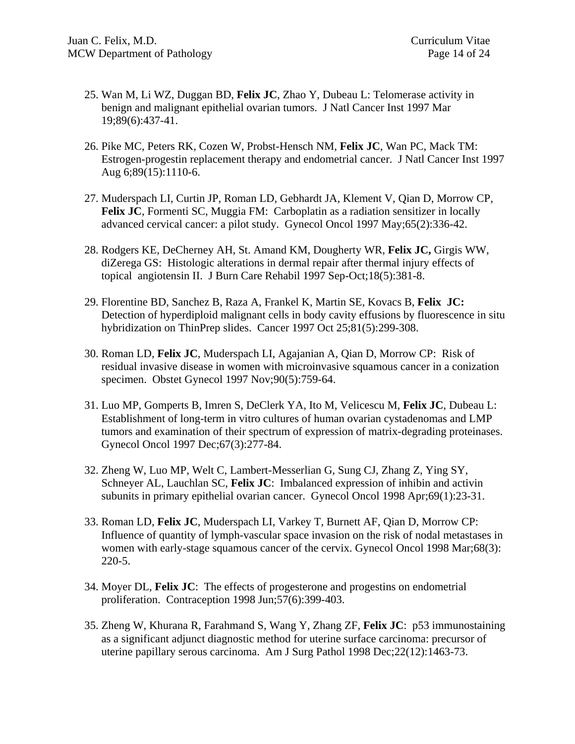- 25. Wan M, Li WZ, Duggan BD, **Felix JC**, Zhao Y, Dubeau L: Telomerase activity in benign and malignant epithelial ovarian tumors. J Natl Cancer Inst 1997 Mar 19;89(6):437-41.
- 26. Pike MC, Peters RK, Cozen W, Probst-Hensch NM, **Felix JC**, Wan PC, Mack TM: Estrogen-progestin replacement therapy and endometrial cancer. J Natl Cancer Inst 1997 Aug 6;89(15):1110-6.
- 27. Muderspach LI, Curtin JP, Roman LD, Gebhardt JA, Klement V, Qian D, Morrow CP, **Felix JC**, Formenti SC, Muggia FM: Carboplatin as a radiation sensitizer in locally advanced cervical cancer: a pilot study. Gynecol Oncol 1997 May;65(2):336-42.
- 28. Rodgers KE, DeCherney AH, St. Amand KM, Dougherty WR, **Felix JC,** Girgis WW, diZerega GS: Histologic alterations in dermal repair after thermal injury effects of topical angiotensin II. J Burn Care Rehabil 1997 Sep-Oct;18(5):381-8.
- 29. Florentine BD, Sanchez B, Raza A, Frankel K, Martin SE, Kovacs B, **Felix JC:**  Detection of hyperdiploid malignant cells in body cavity effusions by fluorescence in situ hybridization on ThinPrep slides. Cancer 1997 Oct 25;81(5):299-308.
- 30. Roman LD, **Felix JC**, Muderspach LI, Agajanian A, Qian D, Morrow CP: Risk of residual invasive disease in women with microinvasive squamous cancer in a conization specimen. Obstet Gynecol 1997 Nov;90(5):759-64.
- 31. Luo MP, Gomperts B, Imren S, DeClerk YA, Ito M, Velicescu M, **Felix JC**, Dubeau L: Establishment of long-term in vitro cultures of human ovarian cystadenomas and LMP tumors and examination of their spectrum of expression of matrix-degrading proteinases. Gynecol Oncol 1997 Dec;67(3):277-84.
- 32. Zheng W, Luo MP, Welt C, Lambert-Messerlian G, Sung CJ, Zhang Z, Ying SY, Schneyer AL, Lauchlan SC, **Felix JC**: Imbalanced expression of inhibin and activin subunits in primary epithelial ovarian cancer. Gynecol Oncol 1998 Apr;69(1):23-31.
- 33. Roman LD, **Felix JC**, Muderspach LI, Varkey T, Burnett AF, Qian D, Morrow CP: Influence of quantity of lymph-vascular space invasion on the risk of nodal metastases in women with early-stage squamous cancer of the cervix. Gynecol Oncol 1998 Mar;68(3): 220-5.
- 34. Moyer DL, **Felix JC**: The effects of progesterone and progestins on endometrial proliferation. Contraception 1998 Jun;57(6):399-403.
- 35. Zheng W, Khurana R, Farahmand S, Wang Y, Zhang ZF, **Felix JC**: p53 immunostaining as a significant adjunct diagnostic method for uterine surface carcinoma: precursor of uterine papillary serous carcinoma. Am J Surg Pathol 1998 Dec;22(12):1463-73.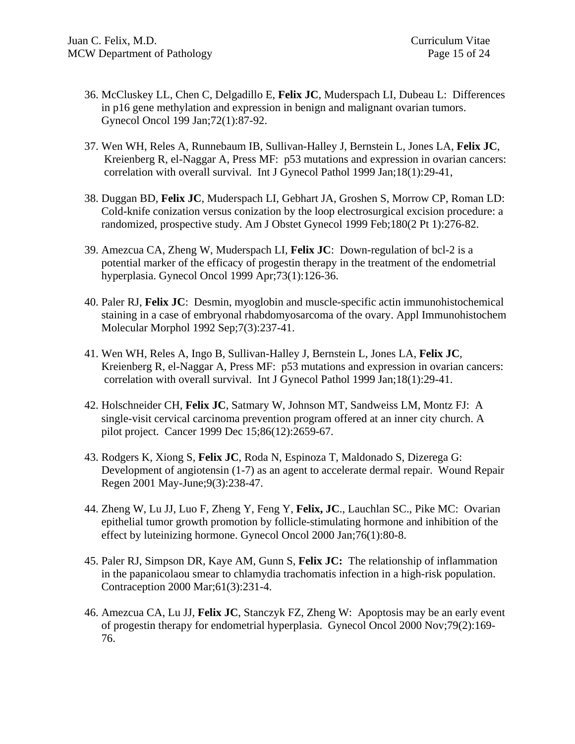- 36. McCluskey LL, Chen C, Delgadillo E, **Felix JC**, Muderspach LI, Dubeau L: Differences in p16 gene methylation and expression in benign and malignant ovarian tumors. Gynecol Oncol 199 Jan;72(1):87-92.
- 37. Wen WH, Reles A, Runnebaum IB, Sullivan-Halley J, Bernstein L, Jones LA, **Felix JC**, Kreienberg R, el-Naggar A, Press MF: p53 mutations and expression in ovarian cancers: correlation with overall survival. Int J Gynecol Pathol 1999 Jan;18(1):29-41,
- 38. Duggan BD, **Felix JC**, Muderspach LI, Gebhart JA, Groshen S, Morrow CP, Roman LD: Cold-knife conization versus conization by the loop electrosurgical excision procedure: a randomized, prospective study. Am J Obstet Gynecol 1999 Feb;180(2 Pt 1):276-82.
- 39. Amezcua CA, Zheng W, Muderspach LI, **Felix JC**: Down-regulation of bcl-2 is a potential marker of the efficacy of progestin therapy in the treatment of the endometrial hyperplasia. Gynecol Oncol 1999 Apr;73(1):126-36.
- 40. Paler RJ, **Felix JC**: Desmin, myoglobin and muscle-specific actin immunohistochemical staining in a case of embryonal rhabdomyosarcoma of the ovary. Appl Immunohistochem Molecular Morphol 1992 Sep;7(3):237-41.
- 41. Wen WH, Reles A, Ingo B, Sullivan-Halley J, Bernstein L, Jones LA, **Felix JC**, Kreienberg R, el-Naggar A, Press MF: p53 mutations and expression in ovarian cancers: correlation with overall survival. Int J Gynecol Pathol 1999 Jan;18(1):29-41.
- 42. Holschneider CH, **Felix JC**, Satmary W, Johnson MT, Sandweiss LM, Montz FJ: A single-visit cervical carcinoma prevention program offered at an inner city church. A pilot project. Cancer 1999 Dec 15;86(12):2659-67.
- 43. Rodgers K, Xiong S, **Felix JC**, Roda N, Espinoza T, Maldonado S, Dizerega G: Development of angiotensin (1-7) as an agent to accelerate dermal repair. Wound Repair Regen 2001 May-June;9(3):238-47.
- 44. Zheng W, Lu JJ, Luo F, Zheng Y, Feng Y, **Felix, JC**., Lauchlan SC., Pike MC: Ovarian epithelial tumor growth promotion by follicle-stimulating hormone and inhibition of the effect by luteinizing hormone. Gynecol Oncol 2000 Jan;76(1):80-8.
- 45. Paler RJ, Simpson DR, Kaye AM, Gunn S, **Felix JC:** The relationship of inflammation in the papanicolaou smear to chlamydia trachomatis infection in a high-risk population. Contraception 2000 Mar;61(3):231-4.
- 46. Amezcua CA, Lu JJ, **Felix JC**, Stanczyk FZ, Zheng W: Apoptosis may be an early event of progestin therapy for endometrial hyperplasia. Gynecol Oncol 2000 Nov;79(2):169- 76.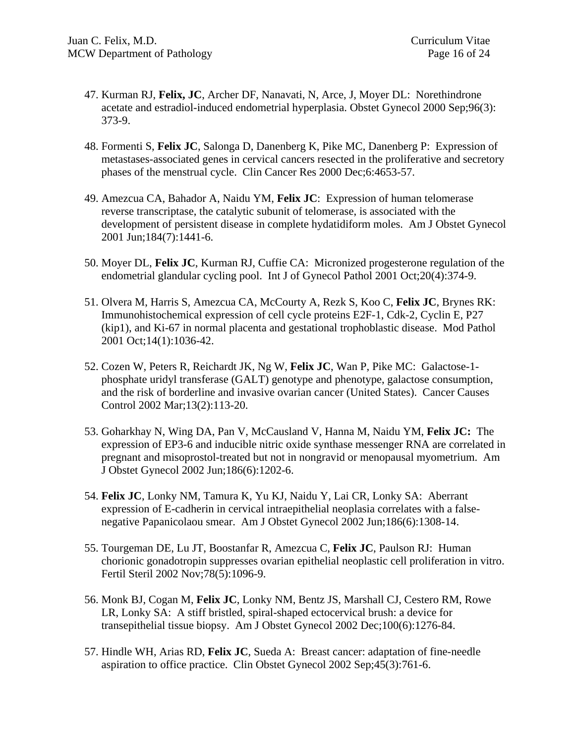- 47. Kurman RJ, **Felix, JC**, Archer DF, Nanavati, N, Arce, J, Moyer DL: Norethindrone acetate and estradiol-induced endometrial hyperplasia. Obstet Gynecol 2000 Sep;96(3): 373-9.
- 48. Formenti S, **Felix JC**, Salonga D, Danenberg K, Pike MC, Danenberg P: Expression of metastases-associated genes in cervical cancers resected in the proliferative and secretory phases of the menstrual cycle. Clin Cancer Res 2000 Dec;6:4653-57.
- 49. Amezcua CA, Bahador A, Naidu YM, **Felix JC**: Expression of human telomerase reverse transcriptase, the catalytic subunit of telomerase, is associated with the development of persistent disease in complete hydatidiform moles. Am J Obstet Gynecol 2001 Jun;184(7):1441-6.
- 50. Moyer DL, **Felix JC**, Kurman RJ, Cuffie CA: Micronized progesterone regulation of the endometrial glandular cycling pool. Int J of Gynecol Pathol 2001 Oct;20(4):374-9.
- 51. Olvera M, Harris S, Amezcua CA, McCourty A, Rezk S, Koo C, **Felix JC**, Brynes RK: Immunohistochemical expression of cell cycle proteins E2F-1, Cdk-2, Cyclin E, P27 (kip1), and Ki-67 in normal placenta and gestational trophoblastic disease. Mod Pathol 2001 Oct;14(1):1036-42.
- 52. Cozen W, Peters R, Reichardt JK, Ng W, **Felix JC**, Wan P, Pike MC: Galactose-1 phosphate uridyl transferase (GALT) genotype and phenotype, galactose consumption, and the risk of borderline and invasive ovarian cancer (United States). Cancer Causes Control 2002 Mar;13(2):113-20.
- 53. Goharkhay N, Wing DA, Pan V, McCausland V, Hanna M, Naidu YM, **Felix JC:** The expression of EP3-6 and inducible nitric oxide synthase messenger RNA are correlated in pregnant and misoprostol-treated but not in nongravid or menopausal myometrium. Am J Obstet Gynecol 2002 Jun;186(6):1202-6.
- 54. **Felix JC**, Lonky NM, Tamura K, Yu KJ, Naidu Y, Lai CR, Lonky SA: Aberrant expression of E-cadherin in cervical intraepithelial neoplasia correlates with a falsenegative Papanicolaou smear. Am J Obstet Gynecol 2002 Jun;186(6):1308-14.
- 55. Tourgeman DE, Lu JT, Boostanfar R, Amezcua C, **Felix JC**, Paulson RJ: Human chorionic gonadotropin suppresses ovarian epithelial neoplastic cell proliferation in vitro. Fertil Steril 2002 Nov;78(5):1096-9.
- 56. Monk BJ, Cogan M, **Felix JC**, Lonky NM, Bentz JS, Marshall CJ, Cestero RM, Rowe LR, Lonky SA: A stiff bristled, spiral-shaped ectocervical brush: a device for transepithelial tissue biopsy. Am J Obstet Gynecol 2002 Dec;100(6):1276-84.
- 57. Hindle WH, Arias RD, **Felix JC**, Sueda A: Breast cancer: adaptation of fine-needle aspiration to office practice. Clin Obstet Gynecol 2002 Sep;45(3):761-6.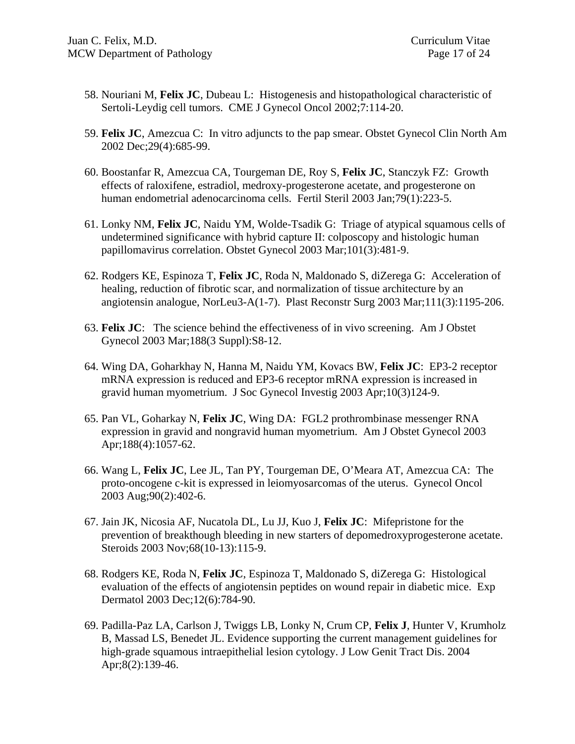- 58. Nouriani M, **Felix JC**, Dubeau L: Histogenesis and histopathological characteristic of Sertoli-Leydig cell tumors. CME J Gynecol Oncol 2002;7:114-20.
- 59. **Felix JC**, Amezcua C: In vitro adjuncts to the pap smear. Obstet Gynecol Clin North Am 2002 Dec;29(4):685-99.
- 60. Boostanfar R, Amezcua CA, Tourgeman DE, Roy S, **Felix JC**, Stanczyk FZ: Growth effects of raloxifene, estradiol, medroxy-progesterone acetate, and progesterone on human endometrial adenocarcinoma cells. Fertil Steril 2003 Jan;79(1):223-5.
- 61. Lonky NM, **Felix JC**, Naidu YM, Wolde-Tsadik G: Triage of atypical squamous cells of undetermined significance with hybrid capture II: colposcopy and histologic human papillomavirus correlation. Obstet Gynecol 2003 Mar;101(3):481-9.
- 62. Rodgers KE, Espinoza T, **Felix JC**, Roda N, Maldonado S, diZerega G: Acceleration of healing, reduction of fibrotic scar, and normalization of tissue architecture by an angiotensin analogue, NorLeu3-A(1-7). Plast Reconstr Surg 2003 Mar;111(3):1195-206.
- 63. **Felix JC**: The science behind the effectiveness of in vivo screening. Am J Obstet Gynecol 2003 Mar;188(3 Suppl):S8-12.
- 64. Wing DA, Goharkhay N, Hanna M, Naidu YM, Kovacs BW, **Felix JC**: EP3-2 receptor mRNA expression is reduced and EP3-6 receptor mRNA expression is increased in gravid human myometrium. J Soc Gynecol Investig 2003 Apr;10(3)124-9.
- 65. Pan VL, Goharkay N, **Felix JC**, Wing DA: FGL2 prothrombinase messenger RNA expression in gravid and nongravid human myometrium. Am J Obstet Gynecol 2003 Apr;188(4):1057-62.
- 66. Wang L, **Felix JC**, Lee JL, Tan PY, Tourgeman DE, O'Meara AT, Amezcua CA: The proto-oncogene c-kit is expressed in leiomyosarcomas of the uterus. Gynecol Oncol 2003 Aug;90(2):402-6.
- 67. Jain JK, Nicosia AF, Nucatola DL, Lu JJ, Kuo J, **Felix JC**: Mifepristone for the prevention of breakthough bleeding in new starters of depomedroxyprogesterone acetate. Steroids 2003 Nov;68(10-13):115-9.
- 68. Rodgers KE, Roda N, **Felix JC**, Espinoza T, Maldonado S, diZerega G: Histological evaluation of the effects of angiotensin peptides on wound repair in diabetic mice. Exp Dermatol 2003 Dec;12(6):784-90.
- 69. Padilla-Paz LA, Carlson J, Twiggs LB, Lonky N, Crum CP, **Felix J**, Hunter V, Krumholz B, Massad LS, Benedet JL. Evidence supporting the current management guidelines for high-grade squamous intraepithelial lesion cytology. J Low Genit Tract Dis. 2004 Apr;8(2):139-46.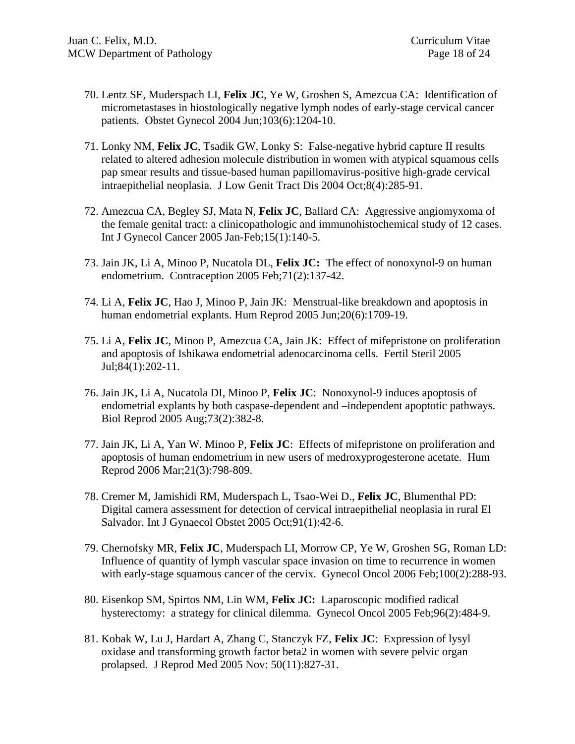- 70. Lentz SE, Muderspach LI, **Felix JC**, Ye W, Groshen S, Amezcua CA: Identification of micrometastases in hiostologically negative lymph nodes of early-stage cervical cancer patients. Obstet Gynecol 2004 Jun;103(6):1204-10.
- 71. Lonky NM, **Felix JC**, Tsadik GW, Lonky S: False-negative hybrid capture II results related to altered adhesion molecule distribution in women with atypical squamous cells pap smear results and tissue-based human papillomavirus-positive high-grade cervical intraepithelial neoplasia. J Low Genit Tract Dis 2004 Oct;8(4):285-91.
- 72. Amezcua CA, Begley SJ, Mata N, **Felix JC**, Ballard CA: Aggressive angiomyxoma of the female genital tract: a clinicopathologic and immunohistochemical study of 12 cases. Int J Gynecol Cancer 2005 Jan-Feb;15(1):140-5.
- 73. Jain JK, Li A, Minoo P, Nucatola DL, **Felix JC:** The effect of nonoxynol-9 on human endometrium. Contraception 2005 Feb;71(2):137-42.
- 74. Li A, **Felix JC**, Hao J, Minoo P, Jain JK: Menstrual-like breakdown and apoptosis in human endometrial explants. Hum Reprod 2005 Jun;20(6):1709-19.
- 75. Li A, **Felix JC**, Minoo P, Amezcua CA, Jain JK: Effect of mifepristone on proliferation and apoptosis of Ishikawa endometrial adenocarcinoma cells. Fertil Steril 2005 Jul;84(1):202-11.
- 76. Jain JK, Li A, Nucatola DI, Minoo P, **Felix JC**: Nonoxynol-9 induces apoptosis of endometrial explants by both caspase-dependent and –independent apoptotic pathways. Biol Reprod 2005 Aug;73(2):382-8.
- 77. Jain JK, Li A, Yan W. Minoo P, **Felix JC**: Effects of mifepristone on proliferation and apoptosis of human endometrium in new users of medroxyprogesterone acetate. Hum Reprod 2006 Mar;21(3):798-809.
- 78. Cremer M, Jamishidi RM, Muderspach L, Tsao-Wei D., **Felix JC**, Blumenthal PD: Digital camera assessment for detection of cervical intraepithelial neoplasia in rural El Salvador. Int J Gynaecol Obstet 2005 Oct;91(1):42-6.
- 79. Chernofsky MR, **Felix JC**, Muderspach LI, Morrow CP, Ye W, Groshen SG, Roman LD: Influence of quantity of lymph vascular space invasion on time to recurrence in women with early-stage squamous cancer of the cervix. Gynecol Oncol 2006 Feb; 100(2): 288-93.
- 80. Eisenkop SM, Spirtos NM, Lin WM, **Felix JC:** Laparoscopic modified radical hysterectomy: a strategy for clinical dilemma. Gynecol Oncol 2005 Feb;96(2):484-9.
- 81. Kobak W, Lu J, Hardart A, Zhang C, Stanczyk FZ, **Felix JC**: Expression of lysyl oxidase and transforming growth factor beta2 in women with severe pelvic organ prolapsed. J Reprod Med 2005 Nov: 50(11):827-31.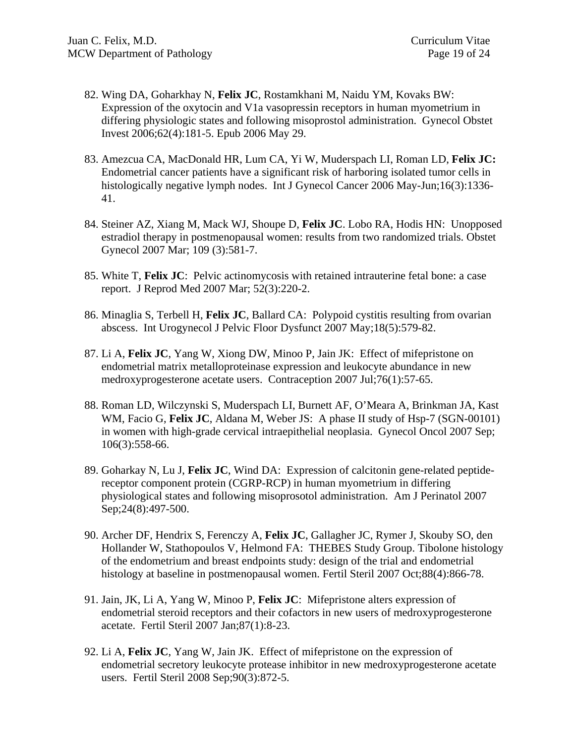- 82. Wing DA, Goharkhay N, **Felix JC**, Rostamkhani M, Naidu YM, Kovaks BW: Expression of the oxytocin and V1a vasopressin receptors in human myometrium in differing physiologic states and following misoprostol administration. Gynecol Obstet Invest 2006;62(4):181-5. Epub 2006 May 29.
- 83. Amezcua CA, MacDonald HR, Lum CA, Yi W, Muderspach LI, Roman LD, **Felix JC:**  Endometrial cancer patients have a significant risk of harboring isolated tumor cells in histologically negative lymph nodes. Int J Gynecol Cancer 2006 May-Jun;16(3):1336- 41.
- 84. Steiner AZ, Xiang M, Mack WJ, Shoupe D, **Felix JC**. Lobo RA, Hodis HN: Unopposed estradiol therapy in postmenopausal women: results from two randomized trials. Obstet Gynecol 2007 Mar; 109 (3):581-7.
- 85. White T, **Felix JC**: Pelvic actinomycosis with retained intrauterine fetal bone: a case report. J Reprod Med 2007 Mar; 52(3):220-2.
- 86. Minaglia S, Terbell H, **Felix JC**, Ballard CA: Polypoid cystitis resulting from ovarian abscess. Int Urogynecol J Pelvic Floor Dysfunct 2007 May;18(5):579-82.
- 87. Li A, **Felix JC**, Yang W, Xiong DW, Minoo P, Jain JK: Effect of mifepristone on endometrial matrix metalloproteinase expression and leukocyte abundance in new medroxyprogesterone acetate users. Contraception 2007 Jul;76(1):57-65.
- 88. Roman LD, Wilczynski S, Muderspach LI, Burnett AF, O'Meara A, Brinkman JA, Kast WM, Facio G, Felix JC, Aldana M, Weber JS: A phase II study of Hsp-7 (SGN-00101) in women with high-grade cervical intraepithelial neoplasia. Gynecol Oncol 2007 Sep; 106(3):558-66.
- 89. Goharkay N, Lu J, **Felix JC**, Wind DA: Expression of calcitonin gene-related peptidereceptor component protein (CGRP-RCP) in human myometrium in differing physiological states and following misoprosotol administration. Am J Perinatol 2007 Sep; 24(8): 497-500.
- 90. Archer DF, Hendrix S, Ferenczy A, **Felix JC**, Gallagher JC, Rymer J, Skouby SO, den Hollander W, Stathopoulos V, Helmond FA: THEBES Study Group. Tibolone histology of the endometrium and breast endpoints study: design of the trial and endometrial histology at baseline in postmenopausal women. Fertil Steril 2007 Oct;88(4):866-78.
- 91. Jain, JK, Li A, Yang W, Minoo P, **Felix JC**: Mifepristone alters expression of endometrial steroid receptors and their cofactors in new users of medroxyprogesterone acetate. Fertil Steril 2007 Jan;87(1):8-23.
- 92. Li A, **Felix JC**, Yang W, Jain JK. Effect of mifepristone on the expression of endometrial secretory leukocyte protease inhibitor in new medroxyprogesterone acetate users. Fertil Steril 2008 Sep;90(3):872-5.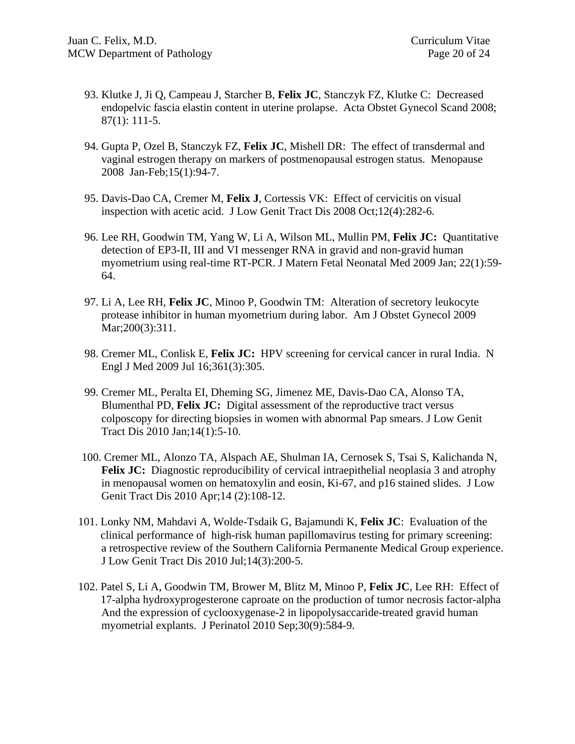- 93. Klutke J, Ji Q, Campeau J, Starcher B, **Felix JC**, Stanczyk FZ, Klutke C: Decreased endopelvic fascia elastin content in uterine prolapse. Acta Obstet Gynecol Scand 2008; 87(1): 111-5.
- 94. Gupta P, Ozel B, Stanczyk FZ, **Felix JC**, Mishell DR: The effect of transdermal and vaginal estrogen therapy on markers of postmenopausal estrogen status. Menopause 2008 Jan-Feb;15(1):94-7.
- 95. Davis-Dao CA, Cremer M, **Felix J**, Cortessis VK: Effect of cervicitis on visual inspection with acetic acid. J Low Genit Tract Dis 2008 Oct;12(4):282-6.
- 96. Lee RH, Goodwin TM, Yang W, Li A, Wilson ML, Mullin PM, **Felix JC:** Quantitative detection of EP3-II, III and VI messenger RNA in gravid and non-gravid human myometrium using real-time RT-PCR. J Matern Fetal Neonatal Med 2009 Jan; 22(1):59- 64.
- 97. Li A, Lee RH, **Felix JC**, Minoo P, Goodwin TM: Alteration of secretory leukocyte protease inhibitor in human myometrium during labor. Am J Obstet Gynecol 2009 Mar; 200(3): 311.
- 98. Cremer ML, Conlisk E, **Felix JC:** HPV screening for cervical cancer in rural India. N Engl J Med 2009 Jul 16;361(3):305.
- 99. Cremer ML, Peralta EI, Dheming SG, Jimenez ME, Davis-Dao CA, Alonso TA, Blumenthal PD, **Felix JC:** Digital assessment of the reproductive tract versus colposcopy for directing biopsies in women with abnormal Pap smears. J Low Genit Tract Dis 2010 Jan;14(1):5-10.
- 100. Cremer ML, Alonzo TA, Alspach AE, Shulman IA, Cernosek S, Tsai S, Kalichanda N, Felix JC: Diagnostic reproducibility of cervical intraepithelial neoplasia 3 and atrophy in menopausal women on hematoxylin and eosin, Ki-67, and p16 stained slides. J Low Genit Tract Dis 2010 Apr;14 (2):108-12.
- 101. Lonky NM, Mahdavi A, Wolde-Tsdaik G, Bajamundi K, **Felix JC**: Evaluation of the clinical performance of high-risk human papillomavirus testing for primary screening: a retrospective review of the Southern California Permanente Medical Group experience. J Low Genit Tract Dis 2010 Jul;14(3):200-5.
- 102. Patel S, Li A, Goodwin TM, Brower M, Blitz M, Minoo P, **Felix JC**, Lee RH: Effect of 17-alpha hydroxyprogesterone caproate on the production of tumor necrosis factor-alpha And the expression of cyclooxygenase-2 in lipopolysaccaride-treated gravid human myometrial explants. J Perinatol 2010 Sep;30(9):584-9.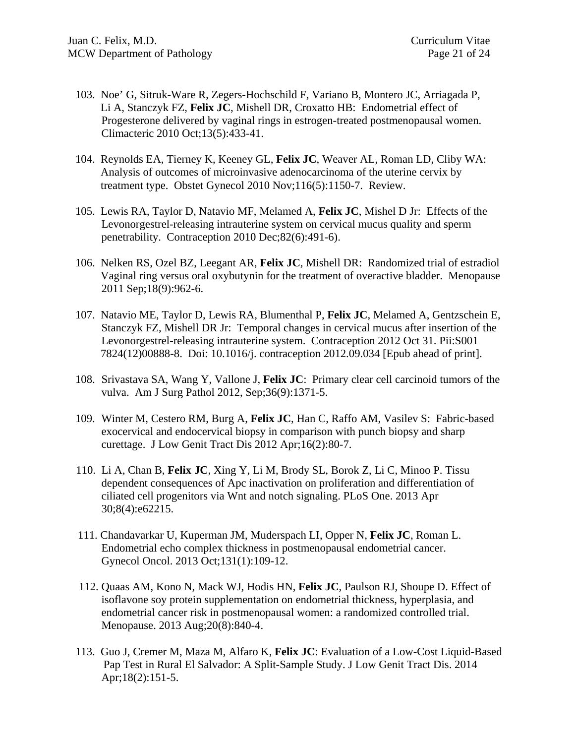- 103. Noe' G, Sitruk-Ware R, Zegers-Hochschild F, Variano B, Montero JC, Arriagada P, Li A, Stanczyk FZ, **Felix JC**, Mishell DR, Croxatto HB: Endometrial effect of Progesterone delivered by vaginal rings in estrogen-treated postmenopausal women. Climacteric 2010 Oct;13(5):433-41.
- 104. Reynolds EA, Tierney K, Keeney GL, **Felix JC**, Weaver AL, Roman LD, Cliby WA: Analysis of outcomes of microinvasive adenocarcinoma of the uterine cervix by treatment type. Obstet Gynecol 2010 Nov;116(5):1150-7. Review.
- 105. Lewis RA, Taylor D, Natavio MF, Melamed A, **Felix JC**, Mishel D Jr: Effects of the Levonorgestrel-releasing intrauterine system on cervical mucus quality and sperm penetrability. Contraception 2010 Dec;82(6):491-6).
- 106. Nelken RS, Ozel BZ, Leegant AR, **Felix JC**, Mishell DR: Randomized trial of estradiol Vaginal ring versus oral oxybutynin for the treatment of overactive bladder. Menopause 2011 Sep;18(9):962-6.
- 107. Natavio ME, Taylor D, Lewis RA, Blumenthal P, **Felix JC**, Melamed A, Gentzschein E, Stanczyk FZ, Mishell DR Jr: Temporal changes in cervical mucus after insertion of the Levonorgestrel-releasing intrauterine system. Contraception 2012 Oct 31. Pii:S001 7824(12)00888-8. Doi: 10.1016/j. contraception 2012.09.034 [Epub ahead of print].
- 108. Srivastava SA, Wang Y, Vallone J, **Felix JC**: Primary clear cell carcinoid tumors of the vulva. Am J Surg Pathol 2012, Sep;36(9):1371-5.
- 109. Winter M, Cestero RM, Burg A, **Felix JC**, Han C, Raffo AM, Vasilev S: Fabric-based exocervical and endocervical biopsy in comparison with punch biopsy and sharp curettage. J Low Genit Tract Dis 2012 Apr;16(2):80-7.
- 110. Li A, Chan B, **Felix JC**, Xing Y, Li M, Brody SL, Borok Z, Li C, Minoo P. Tissu dependent consequences of Apc inactivation on proliferation and differentiation of ciliated cell progenitors via Wnt and notch signaling. PLoS One. 2013 Apr 30;8(4):e62215.
- 111. Chandavarkar U, Kuperman JM, Muderspach LI, Opper N, **Felix JC**, Roman L. Endometrial echo complex thickness in postmenopausal endometrial cancer. Gynecol Oncol. 2013 Oct;131(1):109-12.
- 112. Quaas AM, Kono N, Mack WJ, Hodis HN, **Felix JC**, Paulson RJ, Shoupe D. Effect of isoflavone soy protein supplementation on endometrial thickness, hyperplasia, and endometrial cancer risk in postmenopausal women: a randomized controlled trial. Menopause. 2013 Aug;20(8):840-4.
- 113. Guo J, Cremer M, Maza M, Alfaro K, **Felix JC**: Evaluation of a Low-Cost Liquid-Based Pap Test in Rural El Salvador: A Split-Sample Study. J Low Genit Tract Dis. 2014 Apr;18(2):151-5.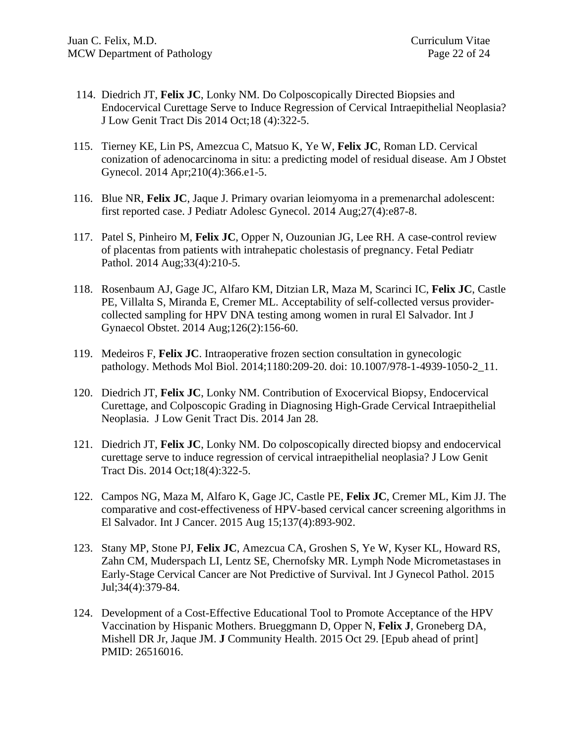- 114. Diedrich JT, **Felix JC**, Lonky NM. Do Colposcopically Directed Biopsies and Endocervical Curettage Serve to Induce Regression of Cervical Intraepithelial Neoplasia? J Low Genit Tract Dis 2014 Oct;18 (4):322-5.
- 115. Tierney KE, Lin PS, Amezcua C, Matsuo K, Ye W, **Felix JC**, Roman LD. Cervical conization of adenocarcinoma in situ: a predicting model of residual disease. Am J Obstet Gynecol. 2014 Apr;210(4):366.e1-5.
- 116. Blue NR, **Felix JC**, Jaque J. Primary ovarian leiomyoma in a premenarchal adolescent: first reported case. J Pediatr Adolesc Gynecol. 2014 Aug;27(4):e87-8.
- 117. Patel S, Pinheiro M, **Felix JC**, Opper N, Ouzounian JG, Lee RH. A case-control review of placentas from patients with intrahepatic cholestasis of pregnancy. Fetal Pediatr Pathol. 2014 Aug;33(4):210-5.
- 118. Rosenbaum AJ, Gage JC, Alfaro KM, Ditzian LR, Maza M, Scarinci IC, **Felix JC**, Castle PE, Villalta S, Miranda E, Cremer ML. Acceptability of self-collected versus providercollected sampling for HPV DNA testing among women in rural El Salvador. Int J Gynaecol Obstet. 2014 Aug;126(2):156-60.
- 119. Medeiros F, **Felix JC**. Intraoperative frozen section consultation in gynecologic pathology. Methods Mol Biol. 2014;1180:209-20. doi: 10.1007/978-1-4939-1050-2\_11.
- 120. Diedrich JT, **Felix JC**, Lonky NM. Contribution of Exocervical Biopsy, Endocervical Curettage, and Colposcopic Grading in Diagnosing High-Grade Cervical Intraepithelial Neoplasia. J Low Genit Tract Dis. 2014 Jan 28.
- 121. Diedrich JT, **Felix JC**, Lonky NM. Do colposcopically directed biopsy and endocervical curettage serve to induce regression of cervical intraepithelial neoplasia? J Low Genit Tract Dis. 2014 Oct;18(4):322-5.
- 122. Campos NG, Maza M, Alfaro K, Gage JC, Castle PE, **Felix JC**, Cremer ML, Kim JJ. The comparative and cost-effectiveness of HPV-based cervical cancer screening algorithms in El Salvador. Int J Cancer. 2015 Aug 15;137(4):893-902.
- 123. Stany MP, Stone PJ, **Felix JC**, Amezcua CA, Groshen S, Ye W, Kyser KL, Howard RS, Zahn CM, Muderspach LI, Lentz SE, Chernofsky MR. Lymph Node Micrometastases in Early-Stage Cervical Cancer are Not Predictive of Survival. Int J Gynecol Pathol. 2015 Jul;34(4):379-84.
- 124. Development of a Cost-Effective Educational Tool to Promote Acceptance of the HPV Vaccination by Hispanic Mothers. Brueggmann D, Opper N, **Felix J**, Groneberg DA, Mishell DR Jr, Jaque JM. **J** Community Health. 2015 Oct 29. [Epub ahead of print] PMID: 26516016.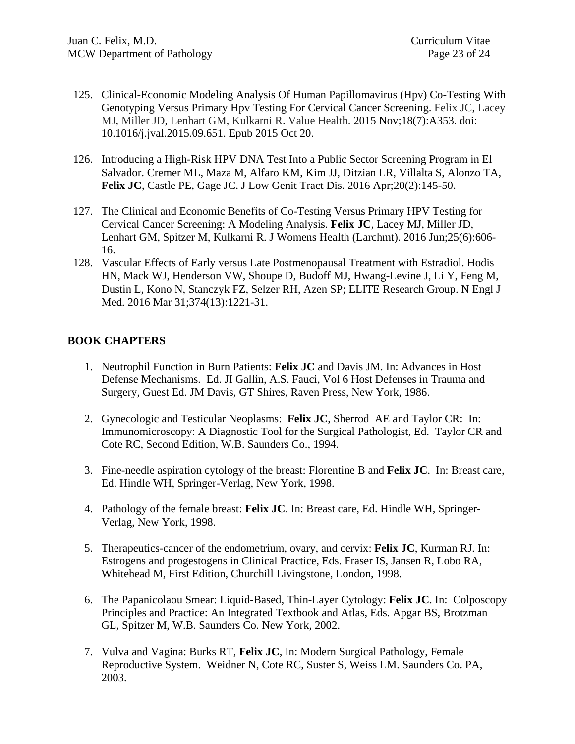- 125. Clinical-Economic Modeling Analysis Of Human Papillomavirus (Hpv) Co-Testing With Genotyping Versus Primary Hpv Testing For Cervical Cancer Screening. Felix JC, Lacey MJ, Miller JD, Lenhart GM, Kulkarni R. Value Health. 2015 Nov;18(7):A353. doi: 10.1016/j.jval.2015.09.651. Epub 2015 Oct 20.
- 126. Introducing a High-Risk HPV DNA Test Into a Public Sector Screening Program in El Salvador. Cremer ML, Maza M, Alfaro KM, Kim JJ, Ditzian LR, Villalta S, Alonzo TA, **Felix JC**, Castle PE, Gage JC. J Low Genit Tract Dis. 2016 Apr;20(2):145-50.
- 127. The Clinical and Economic Benefits of Co-Testing Versus Primary HPV Testing for Cervical Cancer Screening: A Modeling Analysis. **Felix JC**, Lacey MJ, Miller JD, Lenhart GM, Spitzer M, Kulkarni R. J Womens Health (Larchmt). 2016 Jun;25(6):606- 16.
- 128. Vascular Effects of Early versus Late Postmenopausal Treatment with Estradiol. Hodis HN, Mack WJ, Henderson VW, Shoupe D, Budoff MJ, Hwang-Levine J, Li Y, Feng M, Dustin L, Kono N, Stanczyk FZ, Selzer RH, Azen SP; ELITE Research Group. N Engl J Med. 2016 Mar 31;374(13):1221-31.

# **BOOK CHAPTERS**

- 1. Neutrophil Function in Burn Patients: **Felix JC** and Davis JM. In: Advances in Host Defense Mechanisms. Ed. JI Gallin, A.S. Fauci, Vol 6 Host Defenses in Trauma and Surgery, Guest Ed. JM Davis, GT Shires, Raven Press, New York, 1986.
- 2. Gynecologic and Testicular Neoplasms: **Felix JC**, Sherrod AE and Taylor CR: In: Immunomicroscopy: A Diagnostic Tool for the Surgical Pathologist, Ed. Taylor CR and Cote RC, Second Edition, W.B. Saunders Co., 1994.
- 3. Fine-needle aspiration cytology of the breast: Florentine B and **Felix JC**. In: Breast care, Ed. Hindle WH, Springer-Verlag, New York, 1998.
- 4. Pathology of the female breast: **Felix JC**. In: Breast care, Ed. Hindle WH, Springer-Verlag, New York, 1998.
- 5. Therapeutics-cancer of the endometrium, ovary, and cervix: **Felix JC**, Kurman RJ. In: Estrogens and progestogens in Clinical Practice, Eds. Fraser IS, Jansen R, Lobo RA, Whitehead M, First Edition, Churchill Livingstone, London, 1998.
- 6. The Papanicolaou Smear: Liquid-Based, Thin-Layer Cytology: **Felix JC**. In: Colposcopy Principles and Practice: An Integrated Textbook and Atlas, Eds. Apgar BS, Brotzman GL, Spitzer M, W.B. Saunders Co. New York, 2002.
- 7. Vulva and Vagina: Burks RT, **Felix JC**, In: Modern Surgical Pathology, Female Reproductive System. Weidner N, Cote RC, Suster S, Weiss LM. Saunders Co. PA, 2003.